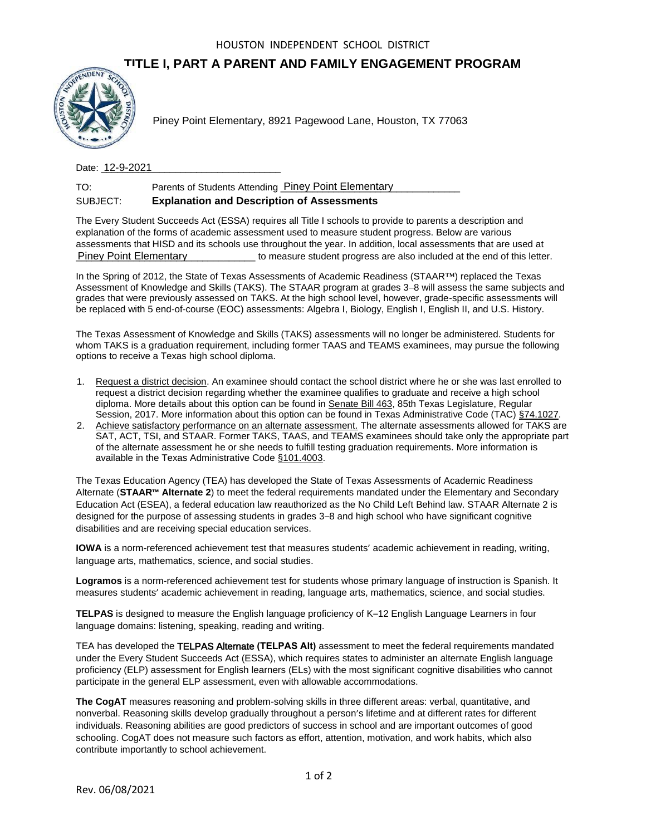## **TITLE I, PART A PARENT AND FAMILY ENGAGEMENT PROGRAM**



Date: <u>12-9-2021</u>

| TO:      | Parents of Students Attending Piney Point Elementary |
|----------|------------------------------------------------------|
| SUBJECT: | <b>Explanation and Description of Assessments</b>    |

The Every Student Succeeds Act (ESSA) requires all Title I schools to provide to parents a description and explanation of the forms of academic assessment used to measure student progress. Below are various assessments that HISD and its schools use throughout the year. In addition, local assessments that are used at \_\_\_\_\_\_\_\_\_\_\_\_\_\_\_\_\_\_\_\_\_\_\_\_\_\_\_\_\_\_\_\_\_\_ to measure student progress are also included at the end of this letter. Piney Point Elementary

In the Spring of 2012, the State of Texas Assessments of Academic Readiness (STAAR™) replaced the Texas Assessment of Knowledge and Skills (TAKS). The STAAR program at grades 3–8 will assess the same subjects and grades that were previously assessed on TAKS. At the high school level, however, grade-specific assessments will be replaced with 5 end-of-course (EOC) assessments: Algebra I, Biology, English I, English II, and U.S. History.

The Texas Assessment of Knowledge and Skills (TAKS) assessments will no longer be administered. Students for whom TAKS is a graduation requirement, including former TAAS and TEAMS examinees, may pursue the following options to receive a Texas high school diploma.

- 1. Request a district decision. An examinee should contact the school district where he or she was last enrolled to request a district decision regarding whether the examinee qualifies to graduate and receive a high school diploma. More details about this option can be found in Senate Bill 463, 85th Texas Legislature, Regular Session, 2017. More information about this option can be found in Texas Administrative Code (TAC) §74.1027.
- 2. Achieve satisfactory performance on an alternate assessment. The alternate assessments allowed for TAKS are SAT, ACT, TSI, and STAAR. Former TAKS, TAAS, and TEAMS examinees should take only the appropriate part of the alternate assessment he or she needs to fulfill testing graduation requirements. More information is available in the Texas Administrative Code §101.4003.

The Texas Education Agency (TEA) has developed the State of Texas Assessments of Academic Readiness Alternate (**STAAR™ Alternate 2**) to meet the federal requirements mandated under the Elementary and Secondary Education Act (ESEA), a federal education law reauthorized as the No Child Left Behind law. STAAR Alternate 2 is designed for the purpose of assessing students in grades 3–8 and high school who have significant cognitive disabilities and are receiving special education services. Rev. 12-82021 Piney Point Elementary, 8921 Pagewood Lane, Houston, TX 77063<br>
Dete: 12-9-2021<br>
To: Perents of Subdents Attending <u>Piney Point Elementary</u><br>
Dete: 12-9-2021<br>
To: Perents of Subdents Attending <u>Piney Point Ele</u>

**IOWA** is a norm-referenced achievement test that measures students' academic achievement in reading, writing, language arts, mathematics, science, and social studies.

**Logramos** is a norm-referenced achievement test for students whose primary language of instruction is Spanish. It measures students' academic achievement in reading, language arts, mathematics, science, and social studies.

**TELPAS** is designed to measure the English language proficiency of K–12 English Language Learners in four language domains: listening, speaking, reading and writing.

TEA has developed the TELPAS Alternate **(TELPAS Alt)** assessment to meet the federal requirements mandated under the Every Student Succeeds Act (ESSA), which requires states to administer an alternate English language proficiency (ELP) assessment for English learners (ELs) with the most significant cognitive disabilities who cannot participate in the general ELP assessment, even with allowable accommodations.

**The CogAT** measures reasoning and problem-solving skills in three different areas: verbal, quantitative, and nonverbal. Reasoning skills develop gradually throughout a person's lifetime and at different rates for different individuals. Reasoning abilities are good predictors of success in school and are important outcomes of good schooling. CogAT does not measure such factors as effort, attention, motivation, and work habits, which also contribute importantly to school achievement.